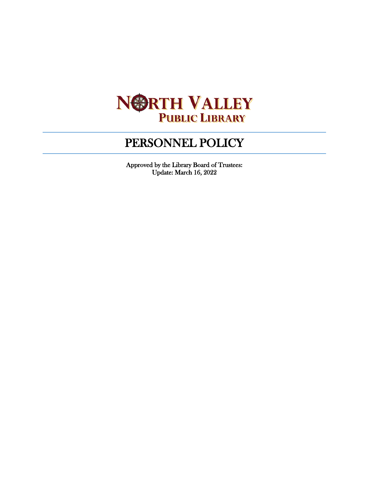

# PERSONNEL POLICY

Approved by the Library Board of Trustees: Update: March 16, 2022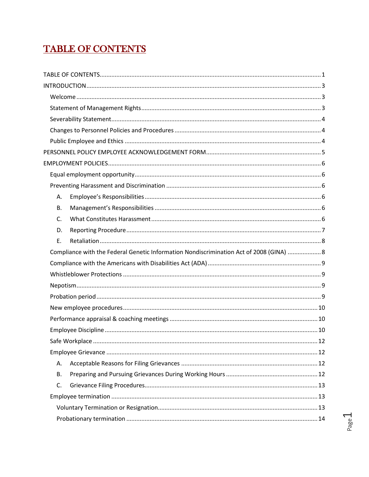# <span id="page-1-0"></span>**TABLE OF CONTENTS**

| Α.        |                                                                                         |
|-----------|-----------------------------------------------------------------------------------------|
| <b>B.</b> |                                                                                         |
| C.        |                                                                                         |
| D.        |                                                                                         |
| Ε.        |                                                                                         |
|           |                                                                                         |
|           | Compliance with the Federal Genetic Information Nondiscrimination Act of 2008 (GINA)  8 |
|           |                                                                                         |
|           |                                                                                         |
|           |                                                                                         |
|           |                                                                                         |
|           |                                                                                         |
|           |                                                                                         |
|           |                                                                                         |
|           |                                                                                         |
|           |                                                                                         |
| Α.        |                                                                                         |
| В.        |                                                                                         |
| C.        |                                                                                         |
|           |                                                                                         |
|           |                                                                                         |

Page 1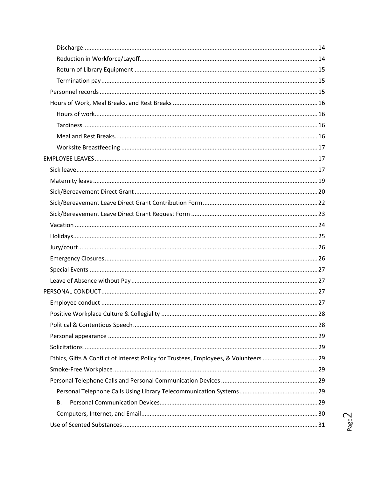| Ethics, Gifts & Conflict of Interest Policy for Trustees, Employees, & Volunteers  29 |  |
|---------------------------------------------------------------------------------------|--|
|                                                                                       |  |
|                                                                                       |  |
|                                                                                       |  |
| В.                                                                                    |  |
|                                                                                       |  |
|                                                                                       |  |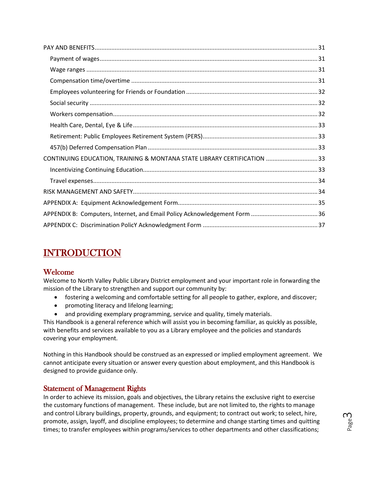| CONTINUING EDUCATION, TRAINING & MONTANA STATE LIBRARY CERTIFICATION 33 |  |
|-------------------------------------------------------------------------|--|
|                                                                         |  |
|                                                                         |  |
|                                                                         |  |
|                                                                         |  |
|                                                                         |  |
|                                                                         |  |

# <span id="page-3-0"></span>INTRODUCTION

# <span id="page-3-1"></span>Welcome

Welcome to North Valley Public Library District employment and your important role in forwarding the mission of the Library to strengthen and support our community by:

- fostering a welcoming and comfortable setting for all people to gather, explore, and discover;
- promoting literacy and lifelong learning;
- and providing exemplary programming, service and quality, timely materials.

This Handbook is a general reference which will assist you in becoming familiar, as quickly as possible, with benefits and services available to you as a Library employee and the policies and standards covering your employment.

Nothing in this Handbook should be construed as an expressed or implied employment agreement. We cannot anticipate every situation or answer every question about employment, and this Handbook is designed to provide guidance only.

# <span id="page-3-2"></span>Statement of Management Rights

In order to achieve its mission, goals and objectives, the Library retains the exclusive right to exercise the customary functions of management. These include, but are not limited to, the rights to manage and control Library buildings, property, grounds, and equipment; to contract out work; to select, hire, promote, assign, layoff, and discipline employees; to determine and change starting times and quitting times; to transfer employees within programs/services to other departments and other classifications;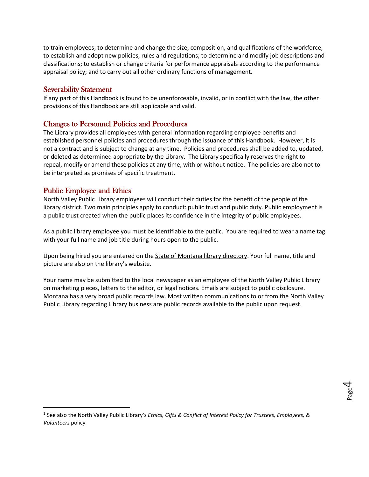to train employees; to determine and change the size, composition, and qualifications of the workforce; to establish and adopt new policies, rules and regulations; to determine and modify job descriptions and classifications; to establish or change criteria for performance appraisals according to the performance appraisal policy; and to carry out all other ordinary functions of management.

### <span id="page-4-0"></span>Severability Statement

If any part of this Handbook is found to be unenforceable, invalid, or in conflict with the law, the other provisions of this Handbook are still applicable and valid.

# <span id="page-4-1"></span>Changes to Personnel Policies and Procedures

The Library provides all employees with general information regarding employee benefits and established personnel policies and procedures through the issuance of this Handbook. However, it is not a contract and is subject to change at any time. Policies and procedures shall be added to, updated, or deleted as determined appropriate by the Library. The Library specifically reserves the right to repeal, modify or amend these policies at any time, with or without notice. The policies are also not to be interpreted as promises of specific treatment.

# <span id="page-4-2"></span>Public Employee and Ethics<sup>[1](#page-4-3)</sup>

North Valley Public Library employees will conduct their duties for the benefit of the people of the library district. Two main principles apply to conduct: public trust and public duty. Public employment is a public trust created when the public places its confidence in the integrity of public employees.

As a public library employee you must be identifiable to the public. You are required to wear a name tag with your full name and job title during hours open to the public.

Upon being hired you are entered on th[e State of Montana library directory.](https://mslservices.mt.gov/ASPeN/Organizations/Organization_Detail?Organization_ID=1255#Staff) Your full name, title and picture are also on the [library's website.](https://www.northvalleylibrary.org/staff)

Your name may be submitted to the local newspaper as an employee of the North Valley Public Library on marketing pieces, letters to the editor, or legal notices. Emails are subject to public disclosure. Montana has a very broad public records law. Most written communications to or from the North Valley Public Library regarding Library business are public records available to the public upon request.

<span id="page-4-3"></span> <sup>1</sup> See also the North Valley Public Library's *Ethics, Gifts & Conflict of Interest Policy for Trustees, Employees, & Volunteers* policy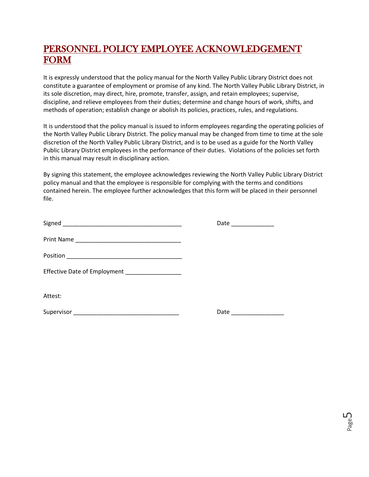# <span id="page-5-0"></span>PERSONNEL POLICY EMPLOYEE ACKNOWLEDGEMENT FORM

It is expressly understood that the policy manual for the North Valley Public Library District does not constitute a guarantee of employment or promise of any kind. The North Valley Public Library District, in its sole discretion, may direct, hire, promote, transfer, assign, and retain employees; supervise, discipline, and relieve employees from their duties; determine and change hours of work, shifts, and methods of operation; establish change or abolish its policies, practices, rules, and regulations.

It is understood that the policy manual is issued to inform employees regarding the operating policies of the North Valley Public Library District. The policy manual may be changed from time to time at the sole discretion of the North Valley Public Library District, and is to be used as a guide for the North Valley Public Library District employees in the performance of their duties. Violations of the policies set forth in this manual may result in disciplinary action.

By signing this statement, the employee acknowledges reviewing the North Valley Public Library District policy manual and that the employee is responsible for complying with the terms and conditions contained herein. The employee further acknowledges that this form will be placed in their personnel file.

|                                                 | Date _____________ |
|-------------------------------------------------|--------------------|
|                                                 |                    |
|                                                 |                    |
| Effective Date of Employment __________________ |                    |
| Attest:                                         |                    |
|                                                 |                    |

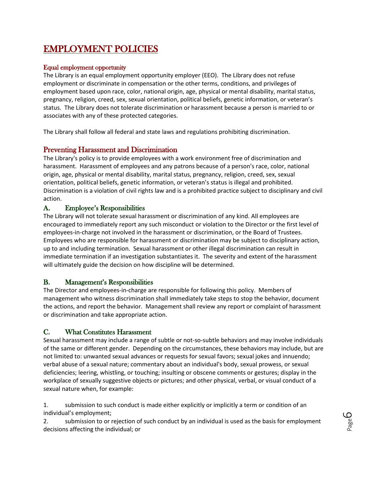# <span id="page-6-0"></span>EMPLOYMENT POLICIES

### <span id="page-6-1"></span>Equal employment opportunity

The Library is an equal employment opportunity employer (EEO). The Library does not refuse employment or discriminate in compensation or the other terms, conditions, and privileges of employment based upon race, color, national origin, age, physical or mental disability, marital status, pregnancy, religion, creed, sex, sexual orientation, political beliefs, genetic information, or veteran's status. The Library does not tolerate discrimination or harassment because a person is married to or associates with any of these protected categories.

The Library shall follow all federal and state laws and regulations prohibiting discrimination.

# <span id="page-6-2"></span>Preventing Harassment and Discrimination

The Library's policy is to provide employees with a work environment free of discrimination and harassment. Harassment of employees and any patrons because of a person's race, color, national origin, age, physical or mental disability, marital status, pregnancy, religion, creed, sex, sexual orientation, political beliefs, genetic information, or veteran's status is illegal and prohibited. Discrimination is a violation of civil rights law and is a prohibited practice subject to disciplinary and civil action.

# <span id="page-6-3"></span>A. Employee's Responsibilities

The Library will not tolerate sexual harassment or discrimination of any kind. All employees are encouraged to immediately report any such misconduct or violation to the Director or the first level of employees-in-charge not involved in the harassment or discrimination, or the Board of Trustees. Employees who are responsible for harassment or discrimination may be subject to disciplinary action, up to and including termination. Sexual harassment or other illegal discrimination can result in immediate termination if an investigation substantiates it. The severity and extent of the harassment will ultimately guide the decision on how discipline will be determined.

# <span id="page-6-4"></span>B. Management's Responsibilities

The Director and employees-in-charge are responsible for following this policy. Members of management who witness discrimination shall immediately take steps to stop the behavior, document the actions, and report the behavior. Management shall review any report or complaint of harassment or discrimination and take appropriate action.

# <span id="page-6-5"></span>C. What Constitutes Harassment

Sexual harassment may include a range of subtle or not-so-subtle behaviors and may involve individuals of the same or different gender. Depending on the circumstances, these behaviors may include, but are not limited to: unwanted sexual advances or requests for sexual favors; sexual jokes and innuendo; verbal abuse of a sexual nature; commentary about an individual's body, sexual prowess, or sexual deficiencies; leering, whistling, or touching; insulting or obscene comments or gestures; display in the workplace of sexually suggestive objects or pictures; and other physical, verbal, or visual conduct of a sexual nature when, for example:

1. submission to such conduct is made either explicitly or implicitly a term or condition of an individual's employment;

2. submission to or rejection of such conduct by an individual is used as the basis for employment decisions affecting the individual; or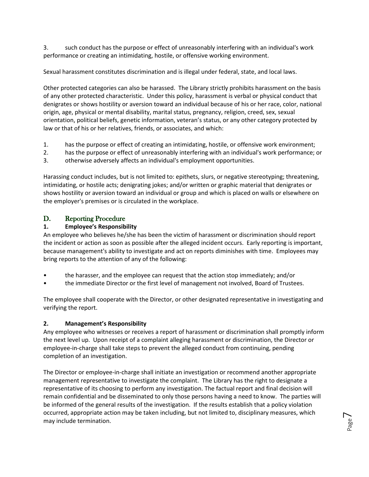3. such conduct has the purpose or effect of unreasonably interfering with an individual's work performance or creating an intimidating, hostile, or offensive working environment.

Sexual harassment constitutes discrimination and is illegal under federal, state, and local laws.

Other protected categories can also be harassed. The Library strictly prohibits harassment on the basis of any other protected characteristic. Under this policy, harassment is verbal or physical conduct that denigrates or shows hostility or aversion toward an individual because of his or her race, color, national origin, age, physical or mental disability, marital status, pregnancy, religion, creed, sex, sexual orientation, political beliefs, genetic information, veteran's status, or any other category protected by law or that of his or her relatives, friends, or associates, and which:

- 1. has the purpose or effect of creating an intimidating, hostile, or offensive work environment;
- 2. has the purpose or effect of unreasonably interfering with an individual's work performance; or
- 3. otherwise adversely affects an individual's employment opportunities.

Harassing conduct includes, but is not limited to: epithets, slurs, or negative stereotyping; threatening, intimidating, or hostile acts; denigrating jokes; and/or written or graphic material that denigrates or shows hostility or aversion toward an individual or group and which is placed on walls or elsewhere on the employer's premises or is circulated in the workplace.

# <span id="page-7-0"></span>D. Reporting Procedure

### **1. Employee's Responsibility**

An employee who believes he/she has been the victim of harassment or discrimination should report the incident or action as soon as possible after the alleged incident occurs. Early reporting is important, because management's ability to investigate and act on reports diminishes with time. Employees may bring reports to the attention of any of the following:

- the harasser, and the employee can request that the action stop immediately; and/or
- the immediate Director or the first level of management not involved, Board of Trustees.

The employee shall cooperate with the Director, or other designated representative in investigating and verifying the report.

### **2. Management's Responsibility**

Any employee who witnesses or receives a report of harassment or discrimination shall promptly inform the next level up. Upon receipt of a complaint alleging harassment or discrimination, the Director or employee-in-charge shall take steps to prevent the alleged conduct from continuing, pending completion of an investigation.

The Director or employee-in-charge shall initiate an investigation or recommend another appropriate management representative to investigate the complaint. The Library has the right to designate a representative of its choosing to perform any investigation. The factual report and final decision will remain confidential and be disseminated to only those persons having a need to know. The parties will be informed of the general results of the investigation. If the results establish that a policy violation occurred, appropriate action may be taken including, but not limited to, disciplinary measures, which may include termination.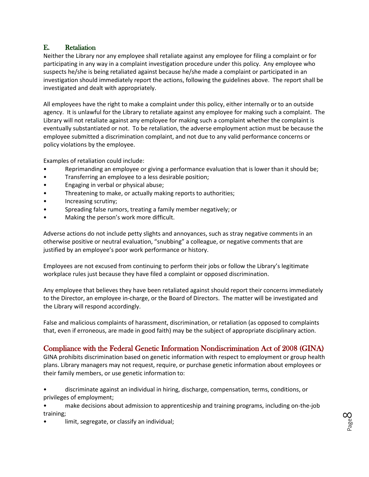# <span id="page-8-0"></span>E. Retaliation

Neither the Library nor any employee shall retaliate against any employee for filing a complaint or for participating in any way in a complaint investigation procedure under this policy. Any employee who suspects he/she is being retaliated against because he/she made a complaint or participated in an investigation should immediately report the actions, following the guidelines above. The report shall be investigated and dealt with appropriately.

All employees have the right to make a complaint under this policy, either internally or to an outside agency. It is unlawful for the Library to retaliate against any employee for making such a complaint. The Library will not retaliate against any employee for making such a complaint whether the complaint is eventually substantiated or not. To be retaliation, the adverse employment action must be because the employee submitted a discrimination complaint, and not due to any valid performance concerns or policy violations by the employee.

Examples of retaliation could include:

- Reprimanding an employee or giving a performance evaluation that is lower than it should be;
- Transferring an employee to a less desirable position;
- Engaging in verbal or physical abuse;
- Threatening to make, or actually making reports to authorities;
- Increasing scrutiny;
- Spreading false rumors, treating a family member negatively; or
- Making the person's work more difficult.

Adverse actions do not include petty slights and annoyances, such as stray negative comments in an otherwise positive or neutral evaluation, "snubbing" a colleague, or negative comments that are justified by an employee's poor work performance or history.

Employees are not excused from continuing to perform their jobs or follow the Library's legitimate workplace rules just because they have filed a complaint or opposed discrimination.

Any employee that believes they have been retaliated against should report their concerns immediately to the Director, an employee in-charge, or the Board of Directors. The matter will be investigated and the Library will respond accordingly.

False and malicious complaints of harassment, discrimination, or retaliation (as opposed to complaints that, even if erroneous, are made in good faith) may be the subject of appropriate disciplinary action.

# <span id="page-8-1"></span>Compliance with the Federal Genetic Information Nondiscrimination Act of 2008 (GINA)

GINA prohibits discrimination based on genetic information with respect to employment or group health plans. Library managers may not request, require, or purchase genetic information about employees or their family members, or use genetic information to:

• discriminate against an individual in hiring, discharge, compensation, terms, conditions, or privileges of employment;

• make decisions about admission to apprenticeship and training programs, including on-the-job training;

limit, segregate, or classify an individual;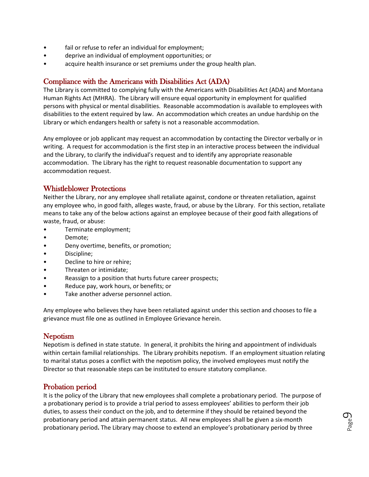- fail or refuse to refer an individual for employment;
- deprive an individual of employment opportunities; or
- acquire health insurance or set premiums under the group health plan.

# <span id="page-9-0"></span>Compliance with the Americans with Disabilities Act (ADA)

The Library is committed to complying fully with the Americans with Disabilities Act (ADA) and Montana Human Rights Act (MHRA). The Library will ensure equal opportunity in employment for qualified persons with physical or mental disabilities. Reasonable accommodation is available to employees with disabilities to the extent required by law. An accommodation which creates an undue hardship on the Library or which endangers health or safety is not a reasonable accommodation.

Any employee or job applicant may request an accommodation by contacting the Director verbally or in writing. A request for accommodation is the first step in an interactive process between the individual and the Library, to clarify the individual's request and to identify any appropriate reasonable accommodation. The Library has the right to request reasonable documentation to support any accommodation request.

# <span id="page-9-1"></span>Whistleblower Protections

Neither the Library, nor any employee shall retaliate against, condone or threaten retaliation, against any employee who, in good faith, alleges waste, fraud, or abuse by the Library. For this section, retaliate means to take any of the below actions against an employee because of their good faith allegations of waste, fraud, or abuse:

- Terminate employment;
- Demote;
- Deny overtime, benefits, or promotion;
- Discipline;
- Decline to hire or rehire;
- Threaten or intimidate;
- Reassign to a position that hurts future career prospects;
- Reduce pay, work hours, or benefits; or
- Take another adverse personnel action.

Any employee who believes they have been retaliated against under this section and chooses to file a grievance must file one as outlined in Employee Grievance herein.

# <span id="page-9-2"></span>**Nepotism**

Nepotism is defined in state statute. In general, it prohibits the hiring and appointment of individuals within certain familial relationships. The Library prohibits nepotism. If an employment situation relating to marital status poses a conflict with the nepotism policy, the involved employees must notify the Director so that reasonable steps can be instituted to ensure statutory compliance.

# <span id="page-9-3"></span>Probation period

It is the policy of the Library that new employees shall complete a probationary period. The purpose of a probationary period is to provide a trial period to assess employees' abilities to perform their job duties, to assess their conduct on the job, and to determine if they should be retained beyond the probationary period and attain permanent status. All new employees shall be given a six-month probationary period**.** The Library may choose to extend an employee's probationary period by three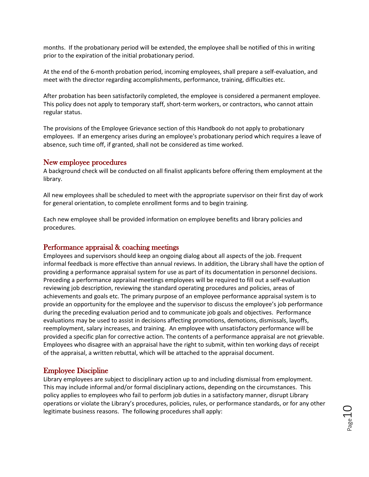months. If the probationary period will be extended, the employee shall be notified of this in writing prior to the expiration of the initial probationary period.

At the end of the 6-month probation period, incoming employees, shall prepare a self-evaluation, and meet with the director regarding accomplishments, performance, training, difficulties etc.

After probation has been satisfactorily completed, the employee is considered a permanent employee. This policy does not apply to temporary staff, short-term workers, or contractors, who cannot attain regular status.

The provisions of the Employee Grievance section of this Handbook do not apply to probationary employees. If an emergency arises during an employee's probationary period which requires a leave of absence, such time off, if granted, shall not be considered as time worked.

### <span id="page-10-0"></span>New employee procedures

A background check will be conducted on all finalist applicants before offering them employment at the library.

All new employees shall be scheduled to meet with the appropriate supervisor on their first day of work for general orientation, to complete enrollment forms and to begin training.

Each new employee shall be provided information on employee benefits and library policies and procedures.

### <span id="page-10-1"></span>Performance appraisal & coaching meetings

Employees and supervisors should keep an ongoing dialog about all aspects of the job. Frequent informal feedback is more effective than annual reviews. In addition, the Library shall have the option of providing a performance appraisal system for use as part of its documentation in personnel decisions. Preceding a performance appraisal meetings employees will be required to fill out a self-evaluation reviewing job description, reviewing the standard operating procedures and policies, areas of achievements and goals etc. The primary purpose of an employee performance appraisal system is to provide an opportunity for the employee and the supervisor to discuss the employee's job performance during the preceding evaluation period and to communicate job goals and objectives. Performance evaluations may be used to assist in decisions affecting promotions, demotions, dismissals, layoffs, reemployment, salary increases, and training. An employee with unsatisfactory performance will be provided a specific plan for corrective action. The contents of a performance appraisal are not grievable. Employees who disagree with an appraisal have the right to submit, within ten working days of receipt of the appraisal, a written rebuttal, which will be attached to the appraisal document.

### <span id="page-10-2"></span>Employee Discipline

Library employees are subject to disciplinary action up to and including dismissal from employment. This may include informal and/or formal disciplinary actions, depending on the circumstances. This policy applies to employees who fail to perform job duties in a satisfactory manner, disrupt Library operations or violate the Library's procedures, policies, rules, or performance standards, or for any other legitimate business reasons. The following procedures shall apply: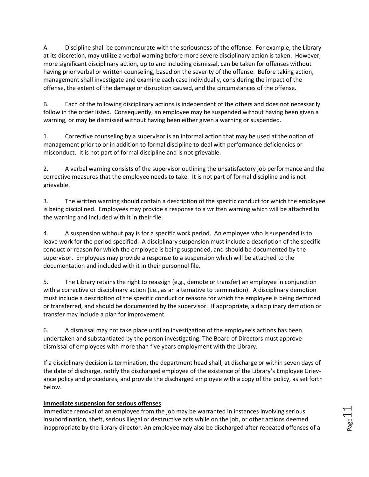A. Discipline shall be commensurate with the seriousness of the offense. For example, the Library at its discretion, may utilize a verbal warning before more severe disciplinary action is taken. However, more significant disciplinary action, up to and including dismissal, can be taken for offenses without having prior verbal or written counseling, based on the severity of the offense. Before taking action, management shall investigate and examine each case individually, considering the impact of the offense, the extent of the damage or disruption caused, and the circumstances of the offense.

B. Each of the following disciplinary actions is independent of the others and does not necessarily follow in the order listed. Consequently, an employee may be suspended without having been given a warning, or may be dismissed without having been either given a warning or suspended.

1. Corrective counseling by a supervisor is an informal action that may be used at the option of management prior to or in addition to formal discipline to deal with performance deficiencies or misconduct. It is not part of formal discipline and is not grievable.

2. A verbal warning consists of the supervisor outlining the unsatisfactory job performance and the corrective measures that the employee needs to take. It is not part of formal discipline and is not grievable.

3. The written warning should contain a description of the specific conduct for which the employee is being disciplined. Employees may provide a response to a written warning which will be attached to the warning and included with it in their file.

4. A suspension without pay is for a specific work period. An employee who is suspended is to leave work for the period specified. A disciplinary suspension must include a description of the specific conduct or reason for which the employee is being suspended, and should be documented by the supervisor. Employees may provide a response to a suspension which will be attached to the documentation and included with it in their personnel file.

5. The Library retains the right to reassign (e.g., demote or transfer) an employee in conjunction with a corrective or disciplinary action (i.e., as an alternative to termination). A disciplinary demotion must include a description of the specific conduct or reasons for which the employee is being demoted or transferred, and should be documented by the supervisor. If appropriate, a disciplinary demotion or transfer may include a plan for improvement.

6. A dismissal may not take place until an investigation of the employee's actions has been undertaken and substantiated by the person investigating. The Board of Directors must approve dismissal of employees with more than five years employment with the Library.

If a disciplinary decision is termination, the department head shall, at discharge or within seven days of the date of discharge, notify the discharged employee of the existence of the Library's Employee Grievance policy and procedures, and provide the discharged employee with a copy of the policy, as set forth below.

### **Immediate suspension for serious offenses**

Immediate removal of an employee from the job may be warranted in instances involving serious insubordination, theft, serious illegal or destructive acts while on the job, or other actions deemed inappropriate by the library director. An employee may also be discharged after repeated offenses of a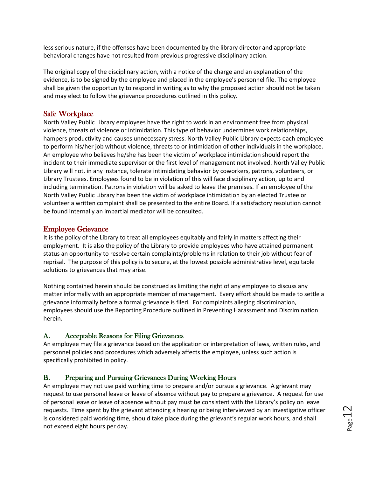less serious nature, if the offenses have been documented by the library director and appropriate behavioral changes have not resulted from previous progressive disciplinary action.

The original copy of the disciplinary action, with a notice of the charge and an explanation of the evidence, is to be signed by the employee and placed in the employee's personnel file. The employee shall be given the opportunity to respond in writing as to why the proposed action should not be taken and may elect to follow the grievance procedures outlined in this policy.

# <span id="page-12-0"></span>Safe Workplace

North Valley Public Library employees have the right to work in an environment free from physical violence, threats of violence or intimidation. This type of behavior undermines work relationships, hampers productivity and causes unnecessary stress. North Valley Public Library expects each employee to perform his/her job without violence, threats to or intimidation of other individuals in the workplace. An employee who believes he/she has been the victim of workplace intimidation should report the incident to their immediate supervisor or the first level of management not involved. North Valley Public Library will not, in any instance, tolerate intimidating behavior by coworkers, patrons, volunteers, or Library Trustees. Employees found to be in violation of this will face disciplinary action, up to and including termination. Patrons in violation will be asked to leave the premises. If an employee of the North Valley Public Library has been the victim of workplace intimidation by an elected Trustee or volunteer a written complaint shall be presented to the entire Board. If a satisfactory resolution cannot be found internally an impartial mediator will be consulted.

### <span id="page-12-1"></span>Employee Grievance

It is the policy of the Library to treat all employees equitably and fairly in matters affecting their employment. It is also the policy of the Library to provide employees who have attained permanent status an opportunity to resolve certain complaints/problems in relation to their job without fear of reprisal. The purpose of this policy is to secure, at the lowest possible administrative level, equitable solutions to grievances that may arise.

Nothing contained herein should be construed as limiting the right of any employee to discuss any matter informally with an appropriate member of management. Every effort should be made to settle a grievance informally before a formal grievance is filed. For complaints alleging discrimination, employees should use the Reporting Procedure outlined in Preventing Harassment and Discrimination herein.

### <span id="page-12-2"></span>A. Acceptable Reasons for Filing Grievances

An employee may file a grievance based on the application or interpretation of laws, written rules, and personnel policies and procedures which adversely affects the employee, unless such action is specifically prohibited in policy.

### <span id="page-12-3"></span>B. Preparing and Pursuing Grievances During Working Hours

An employee may not use paid working time to prepare and/or pursue a grievance. A grievant may request to use personal leave or leave of absence without pay to prepare a grievance. A request for use of personal leave or leave of absence without pay must be consistent with the Library's policy on leave requests. Time spent by the grievant attending a hearing or being interviewed by an investigative officer is considered paid working time, should take place during the grievant's regular work hours, and shall not exceed eight hours per day.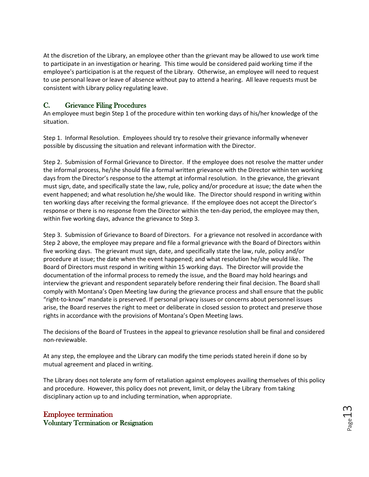At the discretion of the Library, an employee other than the grievant may be allowed to use work time to participate in an investigation or hearing. This time would be considered paid working time if the employee's participation is at the request of the Library. Otherwise, an employee will need to request to use personal leave or leave of absence without pay to attend a hearing. All leave requests must be consistent with Library policy regulating leave.

# <span id="page-13-0"></span>C. Grievance Filing Procedures

An employee must begin Step 1 of the procedure within ten working days of his/her knowledge of the situation.

Step 1. Informal Resolution. Employees should try to resolve their grievance informally whenever possible by discussing the situation and relevant information with the Director.

Step 2. Submission of Formal Grievance to Director. If the employee does not resolve the matter under the informal process, he/she should file a formal written grievance with the Director within ten working days from the Director's response to the attempt at informal resolution. In the grievance, the grievant must sign, date, and specifically state the law, rule, policy and/or procedure at issue; the date when the event happened; and what resolution he/she would like. The Director should respond in writing within ten working days after receiving the formal grievance. If the employee does not accept the Director's response or there is no response from the Director within the ten-day period, the employee may then, within five working days, advance the grievance to Step 3.

Step 3. Submission of Grievance to Board of Directors. For a grievance not resolved in accordance with Step 2 above, the employee may prepare and file a formal grievance with the Board of Directors within five working days. The grievant must sign, date, and specifically state the law, rule, policy and/or procedure at issue; the date when the event happened; and what resolution he/she would like. The Board of Directors must respond in writing within 15 working days. The Director will provide the documentation of the informal process to remedy the issue, and the Board may hold hearings and interview the grievant and respondent separately before rendering their final decision. The Board shall comply with Montana's Open Meeting law during the grievance process and shall ensure that the public "right-to-know" mandate is preserved. If personal privacy issues or concerns about personnel issues arise, the Board reserves the right to meet or deliberate in closed session to protect and preserve those rights in accordance with the provisions of Montana's Open Meeting laws.

The decisions of the Board of Trustees in the appeal to grievance resolution shall be final and considered non-reviewable.

At any step, the employee and the Library can modify the time periods stated herein if done so by mutual agreement and placed in writing.

The Library does not tolerate any form of retaliation against employees availing themselves of this policy and procedure. However, this policy does not prevent, limit, or delay the Library from taking disciplinary action up to and including termination, when appropriate.

# <span id="page-13-2"></span><span id="page-13-1"></span>Employee termination Voluntary Termination or Resignation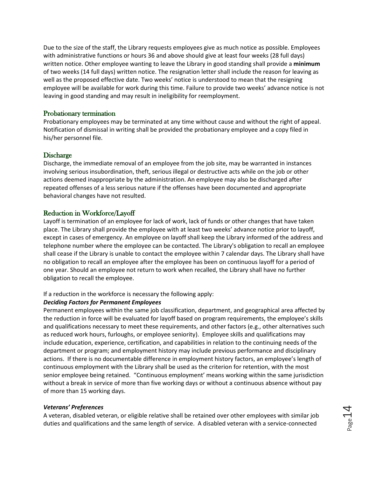Due to the size of the staff, the Library requests employees give as much notice as possible. Employees with administrative functions or hours 36 and above should give at least four weeks (28 full days) written notice. Other employee wanting to leave the Library in good standing shall provide a **minimum** of two weeks (14 full days) written notice. The resignation letter shall include the reason for leaving as well as the proposed effective date. Two weeks' notice is understood to mean that the resigning employee will be available for work during this time. Failure to provide two weeks' advance notice is not leaving in good standing and may result in ineligibility for reemployment.

#### <span id="page-14-0"></span>Probationary termination

Probationary employees may be terminated at any time without cause and without the right of appeal. Notification of dismissal in writing shall be provided the probationary employee and a copy filed in his/her personnel file.

#### <span id="page-14-1"></span>Discharge

Discharge, the immediate removal of an employee from the job site, may be warranted in instances involving serious insubordination, theft, serious illegal or destructive acts while on the job or other actions deemed inappropriate by the administration. An employee may also be discharged after repeated offenses of a less serious nature if the offenses have been documented and appropriate behavioral changes have not resulted.

#### <span id="page-14-2"></span>Reduction in Workforce/Layoff

Layoff is termination of an employee for lack of work, lack of funds or other changes that have taken place. The Library shall provide the employee with at least two weeks' advance notice prior to layoff, except in cases of emergency. An employee on layoff shall keep the Library informed of the address and telephone number where the employee can be contacted. The Library's obligation to recall an employee shall cease if the Library is unable to contact the employee within 7 calendar days. The Library shall have no obligation to recall an employee after the employee has been on continuous layoff for a period of one year. Should an employee not return to work when recalled, the Library shall have no further obligation to recall the employee.

#### If a reduction in the workforce is necessary the following apply:

#### *Deciding Factors for Permanent Employees*

Permanent employees within the same job classification, department, and geographical area affected by the reduction in force will be evaluated for layoff based on program requirements, the employee's skills and qualifications necessary to meet these requirements, and other factors (e.g., other alternatives such as reduced work hours, furloughs, or employee seniority). Employee skills and qualifications may include education, experience, certification, and capabilities in relation to the continuing needs of the department or program; and employment history may include previous performance and disciplinary actions. If there is no documentable difference in employment history factors, an employee's length of continuous employment with the Library shall be used as the criterion for retention, with the most senior employee being retained. "Continuous employment' means working within the same jurisdiction without a break in service of more than five working days or without a continuous absence without pay of more than 15 working days.

#### *Veterans' Preferences*

A veteran, disabled veteran, or eligible relative shall be retained over other employees with similar job duties and qualifications and the same length of service. A disabled veteran with a service-connected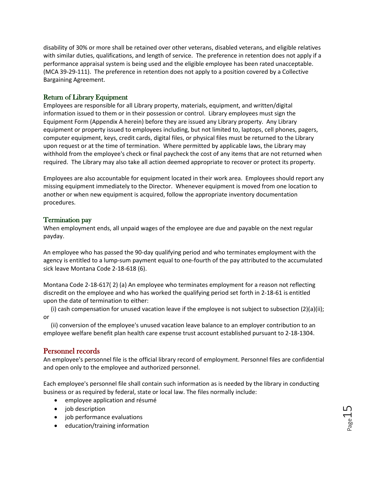disability of 30% or more shall be retained over other veterans, disabled veterans, and eligible relatives with similar duties, qualifications, and length of service. The preference in retention does not apply if a performance appraisal system is being used and the eligible employee has been rated unacceptable. (MCA 39-29-111). The preference in retention does not apply to a position covered by a Collective Bargaining Agreement.

### <span id="page-15-0"></span>Return of Library Equipment

Employees are responsible for all Library property, materials, equipment, and written/digital information issued to them or in their possession or control. Library employees must sign the Equipment Form (Appendix A herein) before they are issued any Library property. Any Library equipment or property issued to employees including, but not limited to, laptops, cell phones, pagers, computer equipment, keys, credit cards, digital files, or physical files must be returned to the Library upon request or at the time of termination. Where permitted by applicable laws, the Library may withhold from the employee's check or final paycheck the cost of any items that are not returned when required. The Library may also take all action deemed appropriate to recover or protect its property.

Employees are also accountable for equipment located in their work area. Employees should report any missing equipment immediately to the Director. Whenever equipment is moved from one location to another or when new equipment is acquired, follow the appropriate inventory documentation procedures.

### <span id="page-15-1"></span>Termination pay

When employment ends, all unpaid wages of the employee are due and payable on the next regular payday.

An employee who has passed the 90-day qualifying period and who terminates employment with the agency is entitled to a lump-sum payment equal to one-fourth of the pay attributed to the accumulated sick leave Montana Code 2-18-618 (6).

Montana Code 2-18-617( 2) (a) An employee who terminates employment for a reason not reflecting discredit on the employee and who has worked the qualifying period set forth in 2-18-61 is entitled upon the date of termination to either:

 (i) cash compensation for unused vacation leave if the employee is not subject to subsection (2)(a)(ii); or

 (ii) conversion of the employee's unused vacation leave balance to an employer contribution to an employee welfare benefit plan health care expense trust account established pursuant to 2-18-1304.

# <span id="page-15-2"></span>Personnel records

An employee's personnel file is the official library record of employment. Personnel files are confidential and open only to the employee and authorized personnel.

Each employee's personnel file shall contain such information as is needed by the library in conducting business or as required by federal, state or local law. The files normally include:

- employee application and résumé
- job description
- job performance evaluations
- education/training information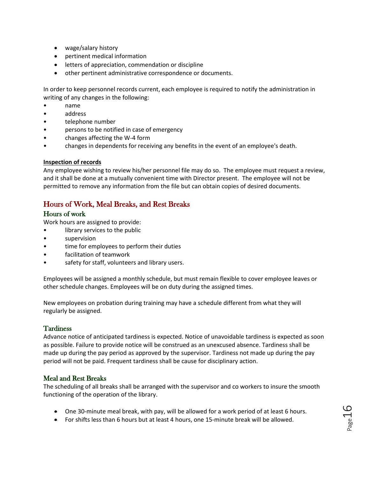- wage/salary history
- pertinent medical information
- letters of appreciation, commendation or discipline
- other pertinent administrative correspondence or documents.

In order to keep personnel records current, each employee is required to notify the administration in writing of any changes in the following:

- name
- address
- telephone number
- persons to be notified in case of emergency
- changes affecting the W-4 form
- changes in dependents for receiving any benefits in the event of an employee's death.

#### **Inspection of records**

Any employee wishing to review his/her personnel file may do so. The employee must request a review, and it shall be done at a mutually convenient time with Director present. The employee will not be permitted to remove any information from the file but can obtain copies of desired documents.

# <span id="page-16-0"></span>Hours of Work, Meal Breaks, and Rest Breaks

### <span id="page-16-1"></span>Hours of work

Work hours are assigned to provide:

- library services to the public
- supervision
- time for employees to perform their duties
- facilitation of teamwork
- safety for staff, volunteers and library users.

Employees will be assigned a monthly schedule, but must remain flexible to cover employee leaves or other schedule changes. Employees will be on duty during the assigned times.

New employees on probation during training may have a schedule different from what they will regularly be assigned.

### <span id="page-16-2"></span>**Tardiness**

Advance notice of anticipated tardiness is expected. Notice of unavoidable tardiness is expected as soon as possible. Failure to provide notice will be construed as an unexcused absence. Tardiness shall be made up during the pay period as approved by the supervisor. Tardiness not made up during the pay period will not be paid. Frequent tardiness shall be cause for disciplinary action.

### <span id="page-16-3"></span>Meal and Rest Breaks

The scheduling of all breaks shall be arranged with the supervisor and co workers to insure the smooth functioning of the operation of the library.

- One 30-minute meal break, with pay, will be allowed for a work period of at least 6 hours.
- For shifts less than 6 hours but at least 4 hours, one 15-minute break will be allowed.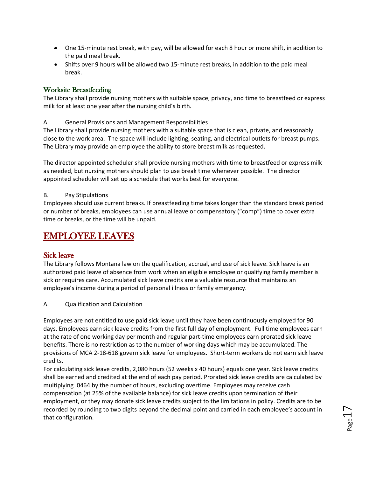- One 15-minute rest break, with pay, will be allowed for each 8 hour or more shift, in addition to the paid meal break.
- Shifts over 9 hours will be allowed two 15-minute rest breaks, in addition to the paid meal break.

### <span id="page-17-0"></span>Worksite Breastfeeding

The Library shall provide nursing mothers with suitable space, privacy, and time to breastfeed or express milk for at least one year after the nursing child's birth.

A. General Provisions and Management Responsibilities

The Library shall provide nursing mothers with a suitable space that is clean, private, and reasonably close to the work area. The space will include lighting, seating, and electrical outlets for breast pumps. The Library may provide an employee the ability to store breast milk as requested.

The director appointed scheduler shall provide nursing mothers with time to breastfeed or express milk as needed, but nursing mothers should plan to use break time whenever possible. The director appointed scheduler will set up a schedule that works best for everyone.

### B. Pay Stipulations

Employees should use current breaks. If breastfeeding time takes longer than the standard break period or number of breaks, employees can use annual leave or compensatory ("comp") time to cover extra time or breaks, or the time will be unpaid.

# <span id="page-17-1"></span>EMPLOYEE LEAVES

# <span id="page-17-2"></span>Sick leave

The Library follows Montana law on the qualification, accrual, and use of sick leave. Sick leave is an authorized paid leave of absence from work when an eligible employee or qualifying family member is sick or requires care. Accumulated sick leave credits are a valuable resource that maintains an employee's income during a period of personal illness or family emergency.

A. Qualification and Calculation

Employees are not entitled to use paid sick leave until they have been continuously employed for 90 days. Employees earn sick leave credits from the first full day of employment. Full time employees earn at the rate of one working day per month and regular part-time employees earn prorated sick leave benefits. There is no restriction as to the number of working days which may be accumulated. The provisions of MCA 2-18-618 govern sick leave for employees. Short-term workers do not earn sick leave credits.

For calculating sick leave credits, 2,080 hours (52 weeks x 40 hours) equals one year. Sick leave credits shall be earned and credited at the end of each pay period. Prorated sick leave credits are calculated by multiplying .0464 by the number of hours, excluding overtime. Employees may receive cash compensation (at 25% of the available balance) for sick leave credits upon termination of their employment, or they may donate sick leave credits subject to the limitations in policy. Credits are to be recorded by rounding to two digits beyond the decimal point and carried in each employee's account in that configuration.

Page  $\overline{\phantom{0}}$  $\overline{\phantom{1}}$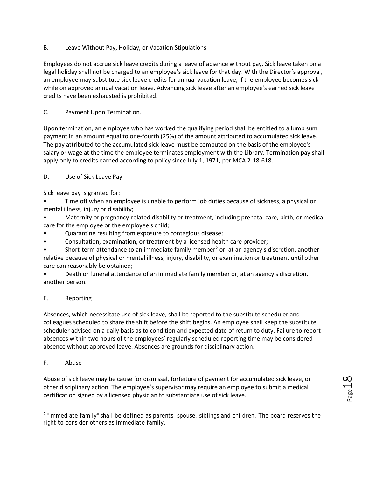B. Leave Without Pay, Holiday, or Vacation Stipulations

Employees do not accrue sick leave credits during a leave of absence without pay. Sick leave taken on a legal holiday shall not be charged to an employee's sick leave for that day. With the Director's approval, an employee may substitute sick leave credits for annual vacation leave, if the employee becomes sick while on approved annual vacation leave. Advancing sick leave after an employee's earned sick leave credits have been exhausted is prohibited.

### C. Payment Upon Termination.

Upon termination, an employee who has worked the qualifying period shall be entitled to a lump sum payment in an amount equal to one-fourth (25%) of the amount attributed to accumulated sick leave. The pay attributed to the accumulated sick leave must be computed on the basis of the employee's salary or wage at the time the employee terminates employment with the Library. Termination pay shall apply only to credits earned according to policy since July 1, 1971, per MCA 2-18-618.

D. Use of Sick Leave Pay

Sick leave pay is granted for:

• Time off when an employee is unable to perform job duties because of sickness, a physical or mental illness, injury or disability;

- Maternity or pregnancy-related disability or treatment, including prenatal care, birth, or medical care for the employee or the employee's child;
- Quarantine resulting from exposure to contagious disease;
- Consultation, examination, or treatment by a licensed health care provider;

Short-term attendance to an immediate family member<sup>[2](#page-18-0)</sup> or, at an agency's discretion, another relative because of physical or mental illness, injury, disability, or examination or treatment until other care can reasonably be obtained;

• Death or funeral attendance of an immediate family member or, at an agency's discretion, another person.

### E. Reporting

Absences, which necessitate use of sick leave, shall be reported to the substitute scheduler and colleagues scheduled to share the shift before the shift begins. An employee shall keep the substitute scheduler advised on a daily basis as to condition and expected date of return to duty. Failure to report absences within two hours of the employees' regularly scheduled reporting time may be considered absence without approved leave. Absences are grounds for disciplinary action.

F. Abuse

Abuse of sick leave may be cause for dismissal, forfeiture of payment for accumulated sick leave, or other disciplinary action. The employee's supervisor may require an employee to submit a medical certification signed by a licensed physician to substantiate use of sick leave.

<span id="page-18-0"></span> $\overline{\phantom{a}}$ <sup>2</sup> "Immediate family" shall be defined as parents, spouse, siblings and children. The board reserves the right to consider others as immediate family.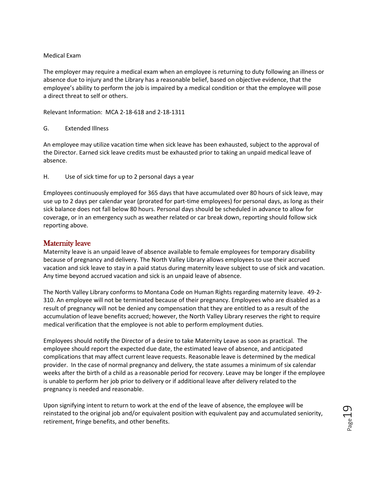#### Medical Exam

The employer may require a medical exam when an employee is returning to duty following an illness or absence due to injury and the Library has a reasonable belief, based on objective evidence, that the employee's ability to perform the job is impaired by a medical condition or that the employee will pose a direct threat to self or others.

Relevant Information: MCA 2-18-618 and 2-18-1311

### G. Extended Illness

An employee may utilize vacation time when sick leave has been exhausted, subject to the approval of the Director. Earned sick leave credits must be exhausted prior to taking an unpaid medical leave of absence.

H. Use of sick time for up to 2 personal days a year

Employees continuously employed for 365 days that have accumulated over 80 hours of sick leave, may use up to 2 days per calendar year (prorated for part-time employees) for personal days, as long as their sick balance does not fall below 80 hours. Personal days should be scheduled in advance to allow for coverage, or in an emergency such as weather related or car break down, reporting should follow sick reporting above.

# <span id="page-19-0"></span>Maternity leave

Maternity leave is an unpaid leave of absence available to female employees for temporary disability because of pregnancy and delivery. The North Valley Library allows employees to use their accrued vacation and sick leave to stay in a paid status during maternity leave subject to use of sick and vacation. Any time beyond accrued vacation and sick is an unpaid leave of absence.

The North Valley Library conforms to Montana Code on Human Rights regarding maternity leave. 49-2- 310. An employee will not be terminated because of their pregnancy. Employees who are disabled as a result of pregnancy will not be denied any compensation that they are entitled to as a result of the accumulation of leave benefits accrued; however, the North Valley Library reserves the right to require medical verification that the employee is not able to perform employment duties.

Employees should notify the Director of a desire to take Maternity Leave as soon as practical. The employee should report the expected due date, the estimated leave of absence, and anticipated complications that may affect current leave requests. Reasonable leave is determined by the medical provider. In the case of normal pregnancy and delivery, the state assumes a minimum of six calendar weeks after the birth of a child as a reasonable period for recovery. Leave may be longer if the employee is unable to perform her job prior to delivery or if additional leave after delivery related to the pregnancy is needed and reasonable.

Upon signifying intent to return to work at the end of the leave of absence, the employee will be reinstated to the original job and/or equivalent position with equivalent pay and accumulated seniority, retirement, fringe benefits, and other benefits.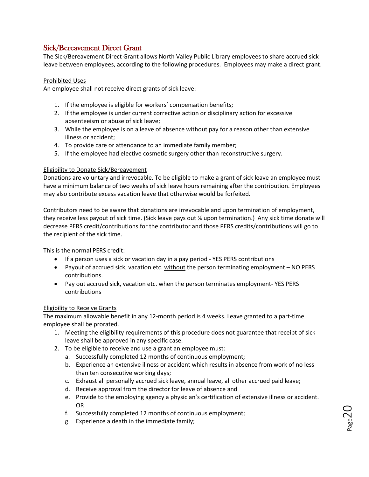# <span id="page-20-0"></span>Sick/Bereavement Direct Grant

The Sick/Bereavement Direct Grant allows North Valley Public Library employees to share accrued sick leave between employees, according to the following procedures. Employees may make a direct grant.

### Prohibited Uses

An employee shall not receive direct grants of sick leave:

- 1. If the employee is eligible for workers' compensation benefits;
- 2. If the employee is under current corrective action or disciplinary action for excessive absenteeism or abuse of sick leave;
- 3. While the employee is on a leave of absence without pay for a reason other than extensive illness or accident;
- 4. To provide care or attendance to an immediate family member;
- 5. If the employee had elective cosmetic surgery other than reconstructive surgery.

### Eligibility to Donate Sick/Bereavement

Donations are voluntary and irrevocable. To be eligible to make a grant of sick leave an employee must have a minimum balance of two weeks of sick leave hours remaining after the contribution. Employees may also contribute excess vacation leave that otherwise would be forfeited.

Contributors need to be aware that donations are irrevocable and upon termination of employment, they receive less payout of sick time. (Sick leave pays out ¼ upon termination.) Any sick time donate will decrease PERS credit/contributions for the contributor and those PERS credits/contributions will go to the recipient of the sick time.

This is the normal PERS credit:

- If a person uses a sick or vacation day in a pay period YES PERS contributions
- Payout of accrued sick, vacation etc. without the person terminating employment NO PERS contributions.
- Pay out accrued sick, vacation etc. when the person terminates employment- YES PERS contributions

#### Eligibility to Receive Grants

The maximum allowable benefit in any 12-month period is 4 weeks. Leave granted to a part-time employee shall be prorated.

- 1. Meeting the eligibility requirements of this procedure does not guarantee that receipt of sick leave shall be approved in any specific case.
- 2. To be eligible to receive and use a grant an employee must:
	- a. Successfully completed 12 months of continuous employment;
	- b. Experience an extensive illness or accident which results in absence from work of no less than ten consecutive working days;
	- c. Exhaust all personally accrued sick leave, annual leave, all other accrued paid leave;
	- d. Receive approval from the director for leave of absence and
	- e. Provide to the employing agency a physician's certification of extensive illness or accident. OR
	- f. Successfully completed 12 months of continuous employment;
	- g. Experience a death in the immediate family;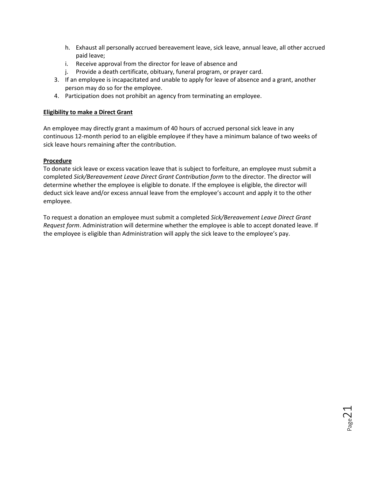- h. Exhaust all personally accrued bereavement leave, sick leave, annual leave, all other accrued paid leave;
- i. Receive approval from the director for leave of absence and
- j. Provide a death certificate, obituary, funeral program, or prayer card.
- 3. If an employee is incapacitated and unable to apply for leave of absence and a grant, another person may do so for the employee.
- 4. Participation does not prohibit an agency from terminating an employee.

#### **Eligibility to make a Direct Grant**

An employee may directly grant a maximum of 40 hours of accrued personal sick leave in any continuous 12-month period to an eligible employee if they have a minimum balance of two weeks of sick leave hours remaining after the contribution.

### **Procedure**

To donate sick leave or excess vacation leave that is subject to forfeiture, an employee must submit a completed *Sick/Bereavement Leave Direct Grant Contribution form* to the director. The director will determine whether the employee is eligible to donate. If the employee is eligible, the director will deduct sick leave and/or excess annual leave from the employee's account and apply it to the other employee.

To request a donation an employee must submit a completed *Sick/Bereavement Leave Direct Grant Request form*. Administration will determine whether the employee is able to accept donated leave. If the employee is eligible than Administration will apply the sick leave to the employee's pay.

 $_{\rm Page}$ 2 $1$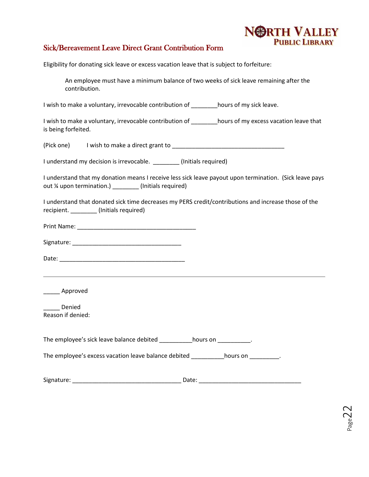

# <span id="page-22-0"></span>Sick/Bereavement Leave Direct Grant Contribution Form

Eligibility for donating sick leave or excess vacation leave that is subject to forfeiture:

An employee must have a minimum balance of two weeks of sick leave remaining after the contribution.

I wish to make a voluntary, irrevocable contribution of **Notinally in the lange.** 

I wish to make a voluntary, irrevocable contribution of \_\_\_\_\_\_\_\_hours of my excess vacation leave that is being forfeited.

 $(Pick one)$  I wish to make a direct grant to  $\frac{1}{2}$  [Decreement of  $\frac{1}{2}$ ] [Decreement of  $\frac{1}{2}$ ]

I understand my decision is irrevocable. [Initials required]

I understand that my donation means I receive less sick leave payout upon termination. (Sick leave pays out ¼ upon termination.) \_\_\_\_\_\_\_\_ (Initials required)

I understand that donated sick time decreases my PERS credit/contributions and increase those of the recipient. \_\_\_\_\_\_\_\_ (Initials required)

Print Name:  $\blacksquare$ 

Signature:  $\Box$ 

Date: \_\_\_\_\_\_\_\_\_\_\_\_\_\_\_\_\_\_\_\_\_\_\_\_\_\_\_\_\_\_\_\_\_\_\_\_\_\_

\_\_\_\_\_ Approved

\_\_\_\_\_ Denied Reason if denied:

The employee's sick leave balance debited bours on the employee's sick leave balance debited

The employee's excess vacation leave balance debited \_\_\_\_\_\_\_\_\_hours on \_\_\_\_\_\_\_\_\_.

Signature: \_\_\_\_\_\_\_\_\_\_\_\_\_\_\_\_\_\_\_\_\_\_\_\_\_\_\_\_\_\_\_\_\_ Date: \_\_\_\_\_\_\_\_\_\_\_\_\_\_\_\_\_\_\_\_\_\_\_\_\_\_\_\_\_\_\_

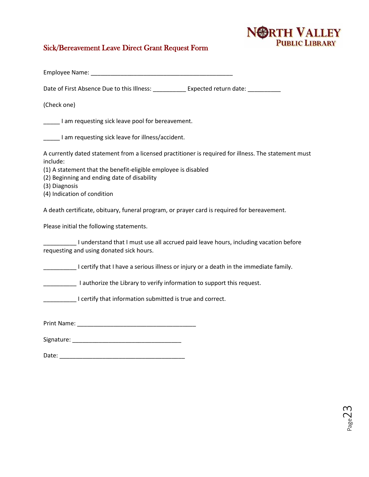# NORTH VALLEY

# <span id="page-23-0"></span>Sick/Bereavement Leave Direct Grant Request Form

| Date of First Absence Due to this Illness: __________ Expected return date: _________                                            |
|----------------------------------------------------------------------------------------------------------------------------------|
| (Check one)                                                                                                                      |
| I am requesting sick leave pool for bereavement.                                                                                 |
| I am requesting sick leave for illness/accident.                                                                                 |
| A currently dated statement from a licensed practitioner is required for illness. The statement must<br>include:                 |
| (1) A statement that the benefit-eligible employee is disabled<br>(2) Beginning and ending date of disability<br>(3) Diagnosis   |
| (4) Indication of condition                                                                                                      |
| A death certificate, obituary, funeral program, or prayer card is required for bereavement.                                      |
| Please initial the following statements.                                                                                         |
| I understand that I must use all accrued paid leave hours, including vacation before<br>requesting and using donated sick hours. |
| I certify that I have a serious illness or injury or a death in the immediate family.                                            |
| I authorize the Library to verify information to support this request.                                                           |
| I certify that information submitted is true and correct.                                                                        |
|                                                                                                                                  |
|                                                                                                                                  |
|                                                                                                                                  |

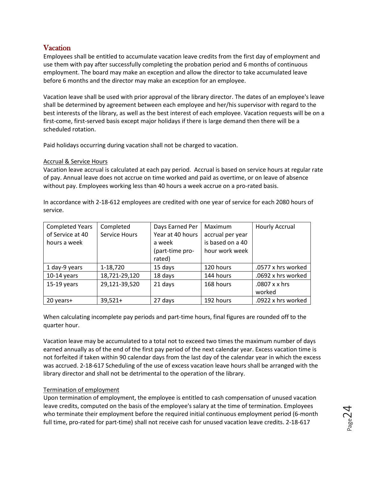# <span id="page-24-0"></span>**Vacation**

Employees shall be entitled to accumulate vacation leave credits from the first day of employment and use them with pay after successfully completing the probation period and 6 months of continuous employment. The board may make an exception and allow the director to take accumulated leave before 6 months and the director may make an exception for an employee.

Vacation leave shall be used with prior approval of the library director. The dates of an employee's leave shall be determined by agreement between each employee and her/his supervisor with regard to the best interests of the library, as well as the best interest of each employee. Vacation requests will be on a first-come, first-served basis except major holidays if there is large demand then there will be a scheduled rotation.

Paid holidays occurring during vacation shall not be charged to vacation.

### Accrual & Service Hours

Vacation leave accrual is calculated at each pay period. Accrual is based on service hours at regular rate of pay. Annual leave does not accrue on time worked and paid as overtime, or on leave of absence without pay. Employees working less than 40 hours a week accrue on a pro-rated basis.

In accordance with 2-18-612 employees are credited with one year of service for each 2080 hours of service.

| <b>Completed Years</b> | Completed     | Days Earned Per  | Maximum          | <b>Hourly Accrual</b> |
|------------------------|---------------|------------------|------------------|-----------------------|
| of Service at 40       | Service Hours | Year at 40 hours | accrual per year |                       |
| hours a week           |               | a week           | is based on a 40 |                       |
|                        |               | (part-time pro-  | hour work week   |                       |
|                        |               | rated)           |                  |                       |
| 1 day-9 years          | 1-18,720      | 15 days          | 120 hours        | .0577 x hrs worked    |
| $10-14$ years          | 18,721-29,120 | 18 days          | 144 hours        | .0692 x hrs worked    |
| $15-19$ years          | 29,121-39,520 | 21 days          | 168 hours        | .0807 x x hrs         |
|                        |               |                  |                  | worked                |
| 20 years+              | $39,521+$     | 27 days          | 192 hours        | .0922 x hrs worked    |

When calculating incomplete pay periods and part-time hours, final figures are rounded off to the quarter hour.

Vacation leave may be accumulated to a total not to exceed two times the maximum number of days earned annually as of the end of the first pay period of the next calendar year. Excess vacation time is not forfeited if taken within 90 calendar days from the last day of the calendar year in which the excess was accrued. 2-18-617 Scheduling of the use of excess vacation leave hours shall be arranged with the library director and shall not be detrimental to the operation of the library.

### Termination of employment

Upon termination of employment, the employee is entitled to cash compensation of unused vacation leave credits, computed on the basis of the employee's salary at the time of termination. Employees who terminate their employment before the required initial continuous employment period (6-month full time, pro-rated for part-time) shall not receive cash for unused vacation leave credits. 2-18-617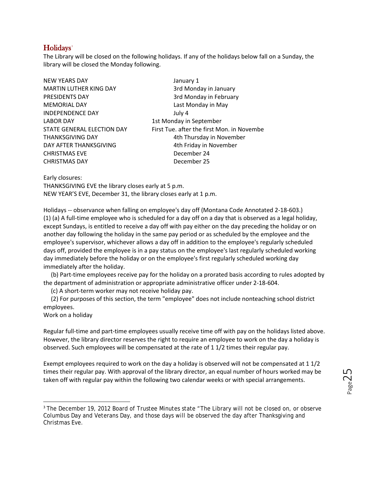# <span id="page-25-0"></span>Holidays<sup>[3](#page-25-1)</sup>

The Library will be closed on the following holidays. If any of the holidays below fall on a Sunday, the library will be closed the Monday following.

| <b>NEW YEARS DAY</b>       | January 1                                  |
|----------------------------|--------------------------------------------|
| MARTIN LUTHER KING DAY     | 3rd Monday in January                      |
| PRESIDENTS DAY             | 3rd Monday in February                     |
| <b>MEMORIAL DAY</b>        | Last Monday in May                         |
| <b>INDEPENDENCE DAY</b>    | July 4                                     |
| <b>LABOR DAY</b>           | 1st Monday in September                    |
| STATE GENERAL ELECTION DAY | First Tue. after the first Mon. in Novembe |
| THANKSGIVING DAY           | 4th Thursday in November                   |
| DAY AFTER THANKSGIVING     | 4th Friday in November                     |
| CHRISTMAS EVE              | December 24                                |
| <b>CHRISTMAS DAY</b>       | December 25                                |
|                            |                                            |

Early closures:

THANKSGIVING EVE the library closes early at 5 p.m. NEW YEAR'S EVE, December 31, the library closes early at 1 p.m.

Holidays -- observance when falling on employee's day off (Montana Code Annotated 2-18-603.) (1) (a) A full-time employee who is scheduled for a day off on a day that is observed as a legal holiday, except Sundays, is entitled to receive a day off with pay either on the day preceding the holiday or on another day following the holiday in the same pay period or as scheduled by the employee and the employee's supervisor, whichever allows a day off in addition to the employee's regularly scheduled days off, provided the employee is in a pay status on the employee's last regularly scheduled working day immediately before the holiday or on the employee's first regularly scheduled working day immediately after the holiday.

 (b) Part-time employees receive pay for the holiday on a prorated basis according to rules adopted by the department of administration or appropriate administrative officer under 2-18-604.

(c) A short-term worker may not receive holiday pay.

 (2) For purposes of this section, the term "employee" does not include nonteaching school district employees.

Work on a holiday

Regular full-time and part-time employees usually receive time off with pay on the holidays listed above. However, the library director reserves the right to require an employee to work on the day a holiday is observed. Such employees will be compensated at the rate of 1 1/2 times their regular pay.

Exempt employees required to work on the day a holiday is observed will not be compensated at 1 1/2 times their regular pay. With approval of the library director, an equal number of hours worked may be taken off with regular pay within the following two calendar weeks or with special arrangements.

<span id="page-25-1"></span><sup>&</sup>lt;sup>3</sup> The December 19, 2012 Board of Trustee Minutes state "The Library will not be closed on, or observe Columbus Day and Veterans Day, and those days will be observed the day after Thanksgiving and Christmas Eve.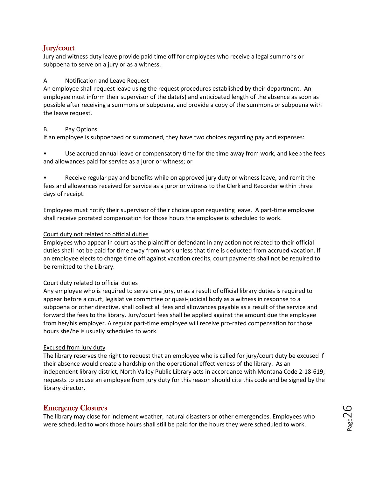# <span id="page-26-0"></span>Jury/court

Jury and witness duty leave provide paid time off for employees who receive a legal summons or subpoena to serve on a jury or as a witness.

### A. Notification and Leave Request

An employee shall request leave using the request procedures established by their department. An employee must inform their supervisor of the date(s) and anticipated length of the absence as soon as possible after receiving a summons or subpoena, and provide a copy of the summons or subpoena with the leave request.

### B. Pay Options

If an employee is subpoenaed or summoned, they have two choices regarding pay and expenses:

• Use accrued annual leave or compensatory time for the time away from work, and keep the fees and allowances paid for service as a juror or witness; or

• Receive regular pay and benefits while on approved jury duty or witness leave, and remit the fees and allowances received for service as a juror or witness to the Clerk and Recorder within three days of receipt.

Employees must notify their supervisor of their choice upon requesting leave. A part-time employee shall receive prorated compensation for those hours the employee is scheduled to work.

### Court duty not related to official duties

Employees who appear in court as the plaintiff or defendant in any action not related to their official duties shall not be paid for time away from work unless that time is deducted from accrued vacation. If an employee elects to charge time off against vacation credits, court payments shall not be required to be remitted to the Library.

### Court duty related to official duties

Any employee who is required to serve on a jury, or as a result of official library duties is required to appear before a court, legislative committee or quasi-judicial body as a witness in response to a subpoena or other directive, shall collect all fees and allowances payable as a result of the service and forward the fees to the library. Jury/court fees shall be applied against the amount due the employee from her/his employer. A regular part-time employee will receive pro-rated compensation for those hours she/he is usually scheduled to work.

### Excused from jury duty

The library reserves the right to request that an employee who is called for jury/court duty be excused if their absence would create a hardship on the operational effectiveness of the library. As an independent library district, North Valley Public Library acts in accordance with Montana Code 2-18-619; requests to excuse an employee from jury duty for this reason should cite this code and be signed by the library director.

# <span id="page-26-1"></span>Emergency Closures

The library may close for inclement weather, natural disasters or other emergencies. Employees who were scheduled to work those hours shall still be paid for the hours they were scheduled to work.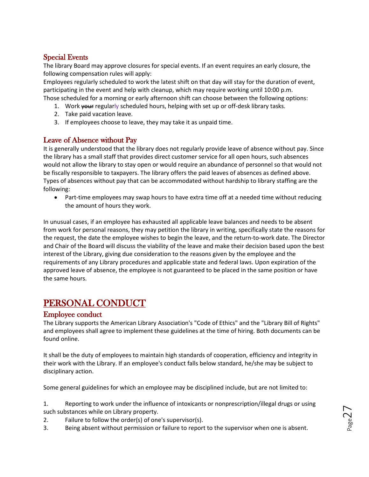# <span id="page-27-0"></span>Special Events

The library Board may approve closures for special events. If an event requires an early closure, the following compensation rules will apply:

Employees regularly scheduled to work the latest shift on that day will stay for the duration of event, participating in the event and help with cleanup, which may require working until 10:00 p.m. Those scheduled for a morning or early afternoon shift can choose between the following options:

- 1. Work your regularly scheduled hours, helping with set up or off-desk library tasks.
- 2. Take paid vacation leave.
- 3. If employees choose to leave, they may take it as unpaid time.

# <span id="page-27-1"></span>Leave of Absence without Pay

It is generally understood that the library does not regularly provide leave of absence without pay. Since the library has a small staff that provides direct customer service for all open hours, such absences would not allow the library to stay open or would require an abundance of personnel so that would not be fiscally responsible to taxpayers. The library offers the paid leaves of absences as defined above. Types of absences without pay that can be accommodated without hardship to library staffing are the following:

• Part-time employees may swap hours to have extra time off at a needed time without reducing the amount of hours they work.

In unusual cases, if an employee has exhausted all applicable leave balances and needs to be absent from work for personal reasons, they may petition the library in writing, specifically state the reasons for the request, the date the employee wishes to begin the leave, and the return-to-work date. The Director and Chair of the Board will discuss the viability of the leave and make their decision based upon the best interest of the Library, giving due consideration to the reasons given by the employee and the requirements of any Library procedures and applicable state and federal laws. Upon expiration of the approved leave of absence, the employee is not guaranteed to be placed in the same position or have the same hours.

# <span id="page-27-2"></span>PERSONAL CONDUCT

# <span id="page-27-3"></span>Employee conduct

The Library supports the American Library Association's "Code of Ethics" and the "Library Bill of Rights" and employees shall agree to implement these guidelines at the time of hiring. Both documents can be found online.

It shall be the duty of employees to maintain high standards of cooperation, efficiency and integrity in their work with the Library. If an employee's conduct falls below standard, he/she may be subject to disciplinary action.

Some general guidelines for which an employee may be disciplined include, but are not limited to:

1. Reporting to work under the influence of intoxicants or nonprescription/illegal drugs or using such substances while on Library property.

- 2. Failure to follow the order(s) of one's supervisor(s).
- 3. Being absent without permission or failure to report to the supervisor when one is absent.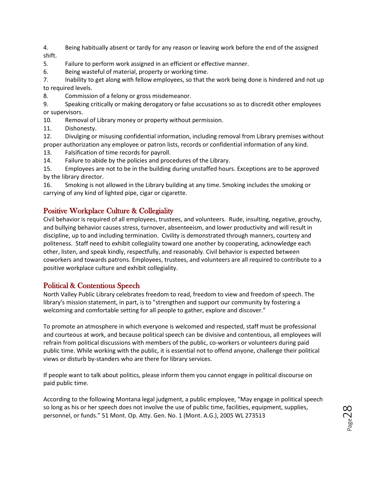4. Being habitually absent or tardy for any reason or leaving work before the end of the assigned shift.

5. Failure to perform work assigned in an efficient or effective manner.

6. Being wasteful of material, property or working time.

7. Inability to get along with fellow employees, so that the work being done is hindered and not up to required levels.

8. Commission of a felony or gross misdemeanor.

9. Speaking critically or making derogatory or false accusations so as to discredit other employees or supervisors.

10. Removal of Library money or property without permission.

11. Dishonesty.

12. Divulging or misusing confidential information, including removal from Library premises without proper authorization any employee or patron lists, records or confidential information of any kind.

13. Falsification of time records for payroll.

14. Failure to abide by the policies and procedures of the Library.

15. Employees are not to be in the building during unstaffed hours. Exceptions are to be approved by the library director.

16. Smoking is not allowed in the Library building at any time. Smoking includes the smoking or carrying of any kind of lighted pipe, cigar or cigarette.

# <span id="page-28-0"></span>Positive Workplace Culture & Collegiality

Civil behavior is required of all employees, trustees, and volunteers. Rude, insulting, negative, grouchy, and bullying behavior causes stress, turnover, absenteeism, and lower productivity and will result in discipline, up to and including termination. Civility is demonstrated through manners, courtesy and politeness. Staff need to exhibit collegiality toward one another by cooperating, acknowledge each other, listen, and speak kindly, respectfully, and reasonably. Civil behavior is expected between coworkers and towards patrons. Employees, trustees, and volunteers are all required to contribute to a positive workplace culture and exhibit collegiality.

# <span id="page-28-1"></span>Political & Contentious Speech

North Valley Public Library celebrates freedom to read, freedom to view and freedom of speech. The library's mission statement, in part, is to "strengthen and support our community by fostering a welcoming and comfortable setting for all people to gather, explore and discover."

To promote an atmosphere in which everyone is welcomed and respected, staff must be professional and courteous at work, and because political speech can be divisive and contentious, all employees will refrain from political discussions with members of the public, co-workers or volunteers during paid public time. While working with the public, it is essential not to offend anyone, challenge their political views or disturb by-standers who are there for library services.

If people want to talk about politics, please inform them you cannot engage in political discourse on paid public time.

According to the following Montana legal judgment, a public employee, "May engage in political speech so long as his or her speech does not involve the use of public time, facilities, equipment, supplies, personnel, or funds." 51 Mont. Op. Atty. Gen. No. 1 (Mont. A.G.), 2005 WL 273513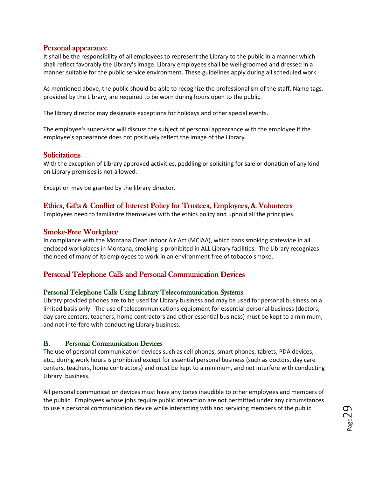# <span id="page-29-0"></span>Personal appearance

It shall be the responsibility of all employees to represent the Library to the public in a manner which shall reflect favorably the Library's image. Library employees shall be well-groomed and dressed in a manner suitable for the public service environment. These guidelines apply during all scheduled work.

As mentioned above, the public should be able to recognize the professionalism of the staff. Name tags, provided by the Library, are required to be worn during hours open to the public.

The library director may designate exceptions for holidays and other special events.

The employee's supervisor will discuss the subject of personal appearance with the employee if the employee's appearance does not positively reflect the image of the Library.

# <span id="page-29-1"></span>**Solicitations**

With the exception of Library approved activities, peddling or soliciting for sale or donation of any kind on Library premises is not allowed.

Exception may be granted by the library director.

# <span id="page-29-2"></span>Ethics, Gifts & Conflict of Interest Policy for Trustees, Employees, & Volunteers

Employees need to familiarize themselves with the ethics policy and uphold all the principles.

# <span id="page-29-3"></span>Smoke-Free Workplace

In compliance with the Montana Clean Indoor Air Act (MCIAA), which bans smoking statewide in all enclosed workplaces in Montana, smoking is prohibited in ALL Library facilities. The Library recognizes the need of many of its employees to work in an environment free of tobacco smoke.

# <span id="page-29-4"></span>Personal Telephone Calls and Personal Communication Devices

### <span id="page-29-5"></span>Personal Telephone Calls Using Library Telecommunication Systems

Library provided phones are to be used for Library business and may be used for personal business on a limited basis only. The use of telecommunications equipment for essential personal business (doctors, day care centers, teachers, home contractors and other essential business) must be kept to a minimum, and not interfere with conducting Library business.

# <span id="page-29-6"></span>B. Personal Communication Devices

The use of personal communication devices such as cell phones, smart phones, tablets, PDA devices, etc., during work hours is prohibited except for essential personal business (such as doctors, day care centers, teachers, home contractors) and must be kept to a minimum, and not interfere with conducting Library business.

All personal communication devices must have any tones inaudible to other employees and members of the public. Employees whose jobs require public interaction are not permitted under any circumstances to use a personal communication device while interacting with and servicing members of the public.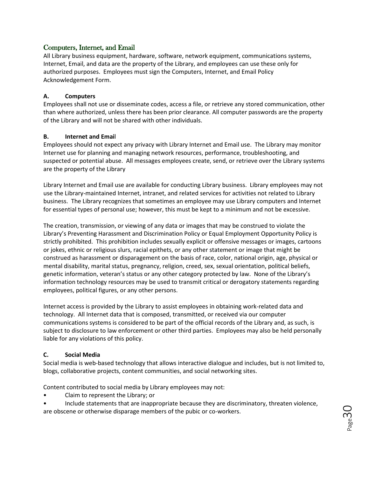### <span id="page-30-0"></span>Computers, Internet, and Email

All Library business equipment, hardware, software, network equipment, communications systems, Internet, Email, and data are the property of the Library, and employees can use these only for authorized purposes. Employees must sign the Computers, Internet, and Email Policy Acknowledgement Form.

### **A. Computers**

Employees shall not use or disseminate codes, access a file, or retrieve any stored communication, other than where authorized, unless there has been prior clearance. All computer passwords are the property of the Library and will not be shared with other individuals.

### **B. Internet and Emai**l

Employees should not expect any privacy with Library Internet and Email use. The Library may monitor Internet use for planning and managing network resources, performance, troubleshooting, and suspected or potential abuse. All messages employees create, send, or retrieve over the Library systems are the property of the Library

Library Internet and Email use are available for conducting Library business. Library employees may not use the Library-maintained Internet, intranet, and related services for activities not related to Library business. The Library recognizes that sometimes an employee may use Library computers and Internet for essential types of personal use; however, this must be kept to a minimum and not be excessive.

The creation, transmission, or viewing of any data or images that may be construed to violate the Library's Preventing Harassment and Discrimination Policy or Equal Employment Opportunity Policy is strictly prohibited. This prohibition includes sexually explicit or offensive messages or images, cartoons or jokes, ethnic or religious slurs, racial epithets, or any other statement or image that might be construed as harassment or disparagement on the basis of race, color, national origin, age, physical or mental disability, marital status, pregnancy, religion, creed, sex, sexual orientation, political beliefs, genetic information, veteran's status or any other category protected by law. None of the Library's information technology resources may be used to transmit critical or derogatory statements regarding employees, political figures, or any other persons.

Internet access is provided by the Library to assist employees in obtaining work-related data and technology. All Internet data that is composed, transmitted, or received via our computer communications systems is considered to be part of the official records of the Library and, as such, is subject to disclosure to law enforcement or other third parties. Employees may also be held personally liable for any violations of this policy.

### **C. Social Media**

Social media is web-based technology that allows interactive dialogue and includes, but is not limited to, blogs, collaborative projects, content communities, and social networking sites.

Content contributed to social media by Library employees may not:

- Claim to represent the Library; or
- Include statements that are inappropriate because they are discriminatory, threaten violence, are obscene or otherwise disparage members of the pubic or co-workers.

Page30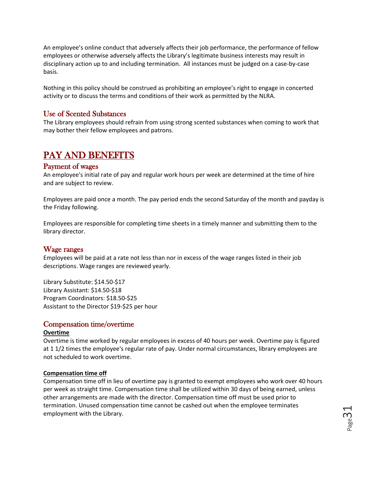An employee's online conduct that adversely affects their job performance, the performance of fellow employees or otherwise adversely affects the Library's legitimate business interests may result in disciplinary action up to and including termination. All instances must be judged on a case-by-case basis.

Nothing in this policy should be construed as prohibiting an employee's right to engage in concerted activity or to discuss the terms and conditions of their work as permitted by the NLRA.

# <span id="page-31-0"></span>Use of Scented Substances

The Library employees should refrain from using strong scented substances when coming to work that may bother their fellow employees and patrons.

# <span id="page-31-1"></span>PAY AND BENEFITS

#### <span id="page-31-2"></span>Payment of wages

An employee's initial rate of pay and regular work hours per week are determined at the time of hire and are subject to review.

Employees are paid once a month. The pay period ends the second Saturday of the month and payday is the Friday following.

Employees are responsible for completing time sheets in a timely manner and submitting them to the library director.

### <span id="page-31-3"></span>Wage ranges

Employees will be paid at a rate not less than nor in excess of the wage ranges listed in their job descriptions. Wage ranges are reviewed yearly.

Library Substitute: \$14.50-\$17 Library Assistant: \$14.50-\$18 Program Coordinators: \$18.50-\$25 Assistant to the Director \$19-\$25 per hour

### <span id="page-31-4"></span>Compensation time/overtime

#### **Overtime**

Overtime is time worked by regular employees in excess of 40 hours per week. Overtime pay is figured at 1 1/2 times the employee's regular rate of pay. Under normal circumstances, library employees are not scheduled to work overtime.

#### **Compensation time off**

Compensation time off in lieu of overtime pay is granted to exempt employees who work over 40 hours per week as straight time. Compensation time shall be utilized within 30 days of being earned, unless other arrangements are made with the director. Compensation time off must be used prior to termination. Unused compensation time cannot be cashed out when the employee terminates employment with the Library.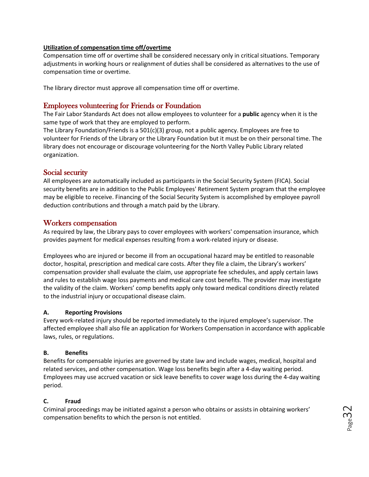#### **Utilization of compensation time off/overtime**

Compensation time off or overtime shall be considered necessary only in critical situations. Temporary adjustments in working hours or realignment of duties shall be considered as alternatives to the use of compensation time or overtime.

The library director must approve all compensation time off or overtime.

# <span id="page-32-0"></span>Employees volunteering for Friends or Foundation

The Fair Labor Standards Act does not allow employees to volunteer for a **public** agency when it is the same type of work that they are employed to perform.

The Library Foundation/Friends is a  $501(c)(3)$  group, not a public agency. Employees are free to volunteer for Friends of the Library or the Library Foundation but it must be on their personal time. The library does not encourage or discourage volunteering for the North Valley Public Library related organization.

# <span id="page-32-1"></span>Social security

All employees are automatically included as participants in the Social Security System (FICA). Social security benefits are in addition to the Public Employees' Retirement System program that the employee may be eligible to receive. Financing of the Social Security System is accomplished by employee payroll deduction contributions and through a match paid by the Library.

# <span id="page-32-2"></span>Workers compensation

As required by law, the Library pays to cover employees with workers' compensation insurance, which provides payment for medical expenses resulting from a work-related injury or disease.

Employees who are injured or become ill from an occupational hazard may be entitled to reasonable doctor, hospital, prescription and medical care costs. After they file a claim, the Library's workers' compensation provider shall evaluate the claim, use appropriate fee schedules, and apply certain laws and rules to establish wage loss payments and medical care cost benefits. The provider may investigate the validity of the claim. Workers' comp benefits apply only toward medical conditions directly related to the industrial injury or occupational disease claim.

### **A. Reporting Provisions**

Every work-related injury should be reported immediately to the injured employee's supervisor. The affected employee shall also file an application for Workers Compensation in accordance with applicable laws, rules, or regulations.

### **B. Benefits**

Benefits for compensable injuries are governed by state law and include wages, medical, hospital and related services, and other compensation. Wage loss benefits begin after a 4-day waiting period. Employees may use accrued vacation or sick leave benefits to cover wage loss during the 4-day waiting period.

### **C. Fraud**

Criminal proceedings may be initiated against a person who obtains or assists in obtaining workers' compensation benefits to which the person is not entitled.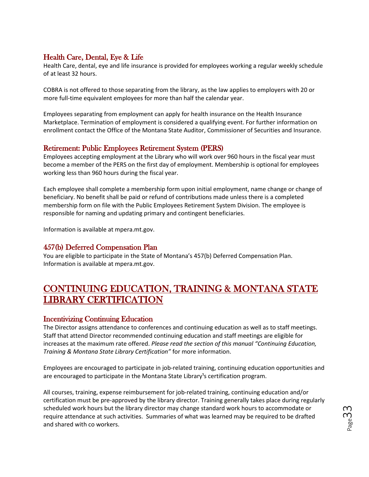# <span id="page-33-0"></span>Health Care, Dental, Eye & Life

Health Care, dental, eye and life insurance is provided for employees working a regular weekly schedule of at least 32 hours.

COBRA is not offered to those separating from the library, as the law applies to employers with 20 or more full-time equivalent employees for more than half the calendar year.

Employees separating from employment can apply for health insurance on the Health Insurance Marketplace. Termination of employment is considered a qualifying event. For further information on enrollment contact the Office of the Montana State Auditor, Commissioner of Securities and Insurance.

# <span id="page-33-1"></span>Retirement: Public Employees Retirement System (PERS)

Employees accepting employment at the Library who will work over 960 hours in the fiscal year must become a member of the PERS on the first day of employment. Membership is optional for employees working less than 960 hours during the fiscal year.

Each employee shall complete a membership form upon initial employment, name change or change of beneficiary. No benefit shall be paid or refund of contributions made unless there is a completed membership form on file with the Public Employees Retirement System Division. The employee is responsible for naming and updating primary and contingent beneficiaries.

Information is available at mpera.mt.gov.

# <span id="page-33-2"></span>457(b) Deferred Compensation Plan

You are eligible to participate in the State of Montana's 457(b) Deferred Compensation Plan. Information is available at mpera.mt.gov.

# <span id="page-33-3"></span>CONTINUING EDUCATION, TRAINING & MONTANA STATE LIBRARY CERTIFICATION

# <span id="page-33-4"></span>Incentivizing Continuing Education

The Director assigns attendance to conferences and continuing education as well as to staff meetings. Staff that attend Director recommended continuing education and staff meetings are eligible for increases at the maximum rate offered. *Please read the section of this manual "Continuing Education, Training & Montana State Library Certification"* for more information.

Employees are encouraged to participate in job-related training, continuing education opportunities and are encouraged to participate in the Montana State Library<sup>1</sup>s certification program.

All courses, training, expense reimbursement for job-related training, continuing education and/or certification must be pre-approved by the library director. Training generally takes place during regularly scheduled work hours but the library director may change standard work hours to accommodate or require attendance at such activities. Summaries of what was learned may be required to be drafted and shared with co workers.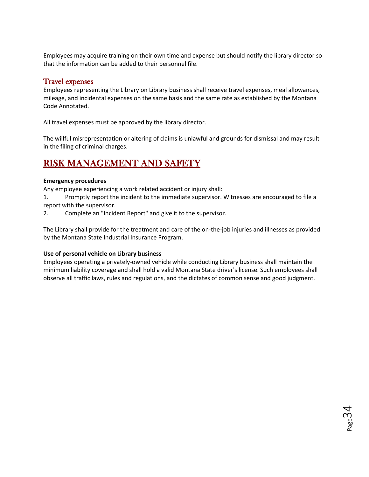Employees may acquire training on their own time and expense but should notify the library director so that the information can be added to their personnel file.

### <span id="page-34-0"></span>Travel expenses

Employees representing the Library on Library business shall receive travel expenses, meal allowances, mileage, and incidental expenses on the same basis and the same rate as established by the Montana Code Annotated.

All travel expenses must be approved by the library director.

The willful misrepresentation or altering of claims is unlawful and grounds for dismissal and may result in the filing of criminal charges.

# <span id="page-34-1"></span>RISK MANAGEMENT AND SAFETY

### **Emergency procedures**

Any employee experiencing a work related accident or injury shall:

1. Promptly report the incident to the immediate supervisor. Witnesses are encouraged to file a report with the supervisor.

2. Complete an "Incident Report" and give it to the supervisor.

The Library shall provide for the treatment and care of the on-the-job injuries and illnesses as provided by the Montana State Industrial Insurance Program.

### **Use of personal vehicle on Library business**

Employees operating a privately-owned vehicle while conducting Library business shall maintain the minimum liability coverage and shall hold a valid Montana State driver's license. Such employees shall observe all traffic laws, rules and regulations, and the dictates of common sense and good judgment.

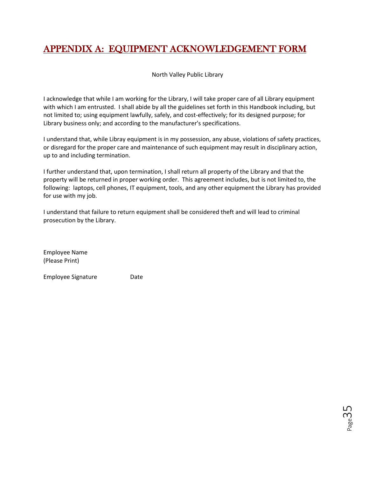# <span id="page-35-0"></span>APPENDIX A: EQUIPMENT ACKNOWLEDGEMENT FORM

North Valley Public Library

I acknowledge that while I am working for the Library, I will take proper care of all Library equipment with which I am entrusted. I shall abide by all the guidelines set forth in this Handbook including, but not limited to; using equipment lawfully, safely, and cost-effectively; for its designed purpose; for Library business only; and according to the manufacturer's specifications.

I understand that, while Libray equipment is in my possession, any abuse, violations of safety practices, or disregard for the proper care and maintenance of such equipment may result in disciplinary action, up to and including termination.

I further understand that, upon termination, I shall return all property of the Library and that the property will be returned in proper working order. This agreement includes, but is not limited to, the following: laptops, cell phones, IT equipment, tools, and any other equipment the Library has provided for use with my job.

I understand that failure to return equipment shall be considered theft and will lead to criminal prosecution by the Library.

Employee Name (Please Print)

Employee Signature **Date**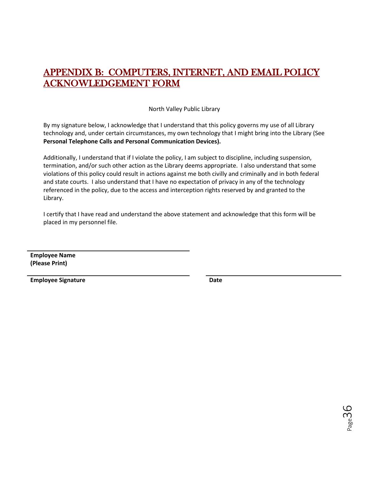# <span id="page-36-0"></span>APPENDIX B: COMPUTERS, INTERNET, AND EMAIL POLICY ACKNOWLEDGEMENT FORM

North Valley Public Library

By my signature below, I acknowledge that I understand that this policy governs my use of all Library technology and, under certain circumstances, my own technology that I might bring into the Library (See **Personal Telephone Calls and Personal Communication Devices).**

Additionally, I understand that if I violate the policy, I am subject to discipline, including suspension, termination, and/or such other action as the Library deems appropriate. I also understand that some violations of this policy could result in actions against me both civilly and criminally and in both federal and state courts. I also understand that I have no expectation of privacy in any of the technology referenced in the policy, due to the access and interception rights reserved by and granted to the Library.

I certify that I have read and understand the above statement and acknowledge that this form will be placed in my personnel file.

**Employee Name (Please Print)**

**Employee Signature Date**